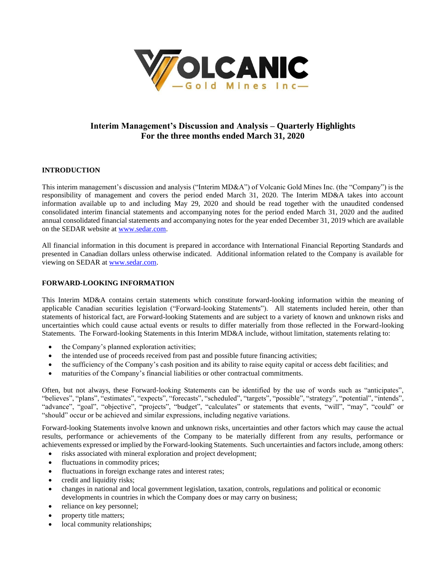

# **Interim Management's Discussion and Analysis – Quarterly Highlights For the three months ended March 31, 2020**

# **INTRODUCTION**

This interim management's discussion and analysis ("Interim MD&A") of Volcanic Gold Mines Inc. (the "Company") is the responsibility of management and covers the period ended March 31, 2020. The Interim MD&A takes into account information available up to and including May 29, 2020 and should be read together with the unaudited condensed consolidated interim financial statements and accompanying notes for the period ended March 31, 2020 and the audited annual consolidated financial statements and accompanying notes for the year ended December 31, 2019 which are available on the SEDAR website at [www.sedar.com.](http://www.sedar.com/)

All financial information in this document is prepared in accordance with International Financial Reporting Standards and presented in Canadian dollars unless otherwise indicated. Additional information related to the Company is available for viewing on SEDAR at [www.sedar.com.](http://www.sedar.com/)

### **FORWARD-LOOKING INFORMATION**

This Interim MD&A contains certain statements which constitute forward-looking information within the meaning of applicable Canadian securities legislation ("Forward-looking Statements"). All statements included herein, other than statements of historical fact, are Forward-looking Statements and are subject to a variety of known and unknown risks and uncertainties which could cause actual events or results to differ materially from those reflected in the Forward-looking Statements. The Forward-looking Statements in this Interim MD&A include, without limitation, statements relating to:

- the Company's planned exploration activities;
- the intended use of proceeds received from past and possible future financing activities;
- the sufficiency of the Company's cash position and its ability to raise equity capital or access debt facilities; and
- maturities of the Company's financial liabilities or other contractual commitments.

Often, but not always, these Forward-looking Statements can be identified by the use of words such as "anticipates", "believes", "plans", "estimates", "expects", "forecasts", "scheduled", "targets", "possible", "strategy", "potential", "intends", "advance", "goal", "objective", "projects", "budget", "calculates" or statements that events, "will", "may", "could" or "should" occur or be achieved and similar expressions, including negative variations.

Forward-looking Statements involve known and unknown risks, uncertainties and other factors which may cause the actual results, performance or achievements of the Company to be materially different from any results, performance or achievements expressed or implied by the Forward-looking Statements. Such uncertainties and factors include, among others:

- risks associated with mineral exploration and project development;
- fluctuations in commodity prices;
- fluctuations in foreign exchange rates and interest rates;
- credit and liquidity risks;
- changes in national and local government legislation, taxation, controls, regulations and political or economic developments in countries in which the Company does or may carry on business;
- reliance on key personnel;
- property title matters;
- local community relationships;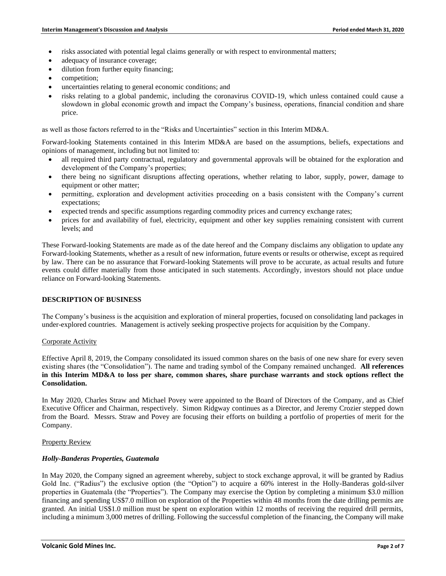- risks associated with potential legal claims generally or with respect to environmental matters;
- adequacy of insurance coverage;
- dilution from further equity financing;
- competition;
- uncertainties relating to general economic conditions; and
- risks relating to a global pandemic, including the coronavirus COVID-19, which unless contained could cause a slowdown in global economic growth and impact the Company's business, operations, financial condition and share price.

as well as those factors referred to in the "Risks and Uncertainties" section in this Interim MD&A.

Forward-looking Statements contained in this Interim MD&A are based on the assumptions, beliefs, expectations and opinions of management, including but not limited to:

- all required third party contractual, regulatory and governmental approvals will be obtained for the exploration and development of the Company's properties;
- there being no significant disruptions affecting operations, whether relating to labor, supply, power, damage to equipment or other matter;
- permitting, exploration and development activities proceeding on a basis consistent with the Company's current expectations;
- expected trends and specific assumptions regarding commodity prices and currency exchange rates;
- prices for and availability of fuel, electricity, equipment and other key supplies remaining consistent with current levels; and

These Forward-looking Statements are made as of the date hereof and the Company disclaims any obligation to update any Forward-looking Statements, whether as a result of new information, future events or results or otherwise, except as required by law. There can be no assurance that Forward-looking Statements will prove to be accurate, as actual results and future events could differ materially from those anticipated in such statements. Accordingly, investors should not place undue reliance on Forward-looking Statements.

### **DESCRIPTION OF BUSINESS**

The Company's business is the acquisition and exploration of mineral properties, focused on consolidating land packages in under-explored countries. Management is actively seeking prospective projects for acquisition by the Company.

#### Corporate Activity

Effective April 8, 2019, the Company consolidated its issued common shares on the basis of one new share for every seven existing shares (the "Consolidation"). The name and trading symbol of the Company remained unchanged. **All references in this Interim MD&A to loss per share, common shares, share purchase warrants and stock options reflect the Consolidation.**

In May 2020, Charles Straw and Michael Povey were appointed to the Board of Directors of the Company, and as Chief Executive Officer and Chairman, respectively. Simon Ridgway continues as a Director, and Jeremy Crozier stepped down from the Board. Messrs. Straw and Povey are focusing their efforts on building a portfolio of properties of merit for the Company.

#### Property Review

#### *Holly-Banderas Properties, Guatemala*

In May 2020, the Company signed an agreement whereby, subject to stock exchange approval, it will be granted by Radius Gold Inc. ("Radius") the exclusive option (the "Option") to acquire a 60% interest in the Holly-Banderas gold-silver properties in Guatemala (the "Properties"). The Company may exercise the Option by completing a minimum \$3.0 million financing and spending US\$7.0 million on exploration of the Properties within 48 months from the date drilling permits are granted. An initial US\$1.0 million must be spent on exploration within 12 months of receiving the required drill permits, including a minimum 3,000 metres of drilling. Following the successful completion of the financing, the Company will make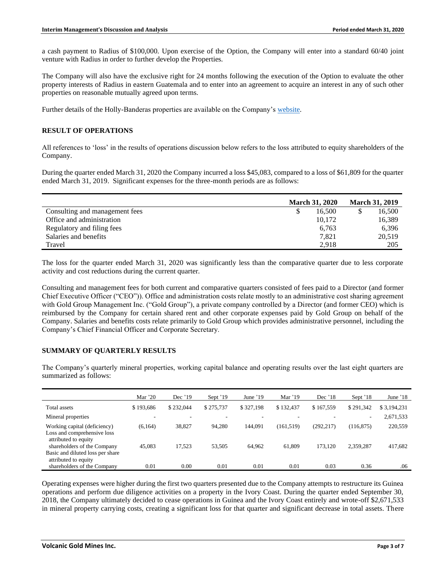a cash payment to Radius of \$100,000. Upon exercise of the Option, the Company will enter into a standard 60/40 joint venture with Radius in order to further develop the Properties.

The Company will also have the exclusive right for 24 months following the execution of the Option to evaluate the other property interests of Radius in eastern Guatemala and to enter into an agreement to acquire an interest in any of such other properties on reasonable mutually agreed upon terms.

Further details of the Holly-Banderas properties are available on the Company's [website.](http://www.volgold.com/)

# **RESULT OF OPERATIONS**

All references to 'loss' in the results of operations discussion below refers to the loss attributed to equity shareholders of the Company.

During the quarter ended March 31, 2020 the Company incurred a loss \$45,083, compared to a loss of \$61,809 for the quarter ended March 31, 2019. Significant expenses for the three-month periods are as follows:

|                                | <b>March 31, 2020</b> |        | <b>March 31, 2019</b> |        |
|--------------------------------|-----------------------|--------|-----------------------|--------|
| Consulting and management fees |                       | 16.500 |                       | 16,500 |
| Office and administration      |                       | 10,172 |                       | 16,389 |
| Regulatory and filing fees     |                       | 6,763  |                       | 6.396  |
| Salaries and benefits          |                       | 7.821  |                       | 20,519 |
| Travel                         |                       | 2.918  |                       | 205    |

The loss for the quarter ended March 31, 2020 was significantly less than the comparative quarter due to less corporate activity and cost reductions during the current quarter.

Consulting and management fees for both current and comparative quarters consisted of fees paid to a Director (and former Chief Executive Officer ("CEO")). Office and administration costs relate mostly to an administrative cost sharing agreement with Gold Group Management Inc. ("Gold Group"), a private company controlled by a Director (and former CEO) which is reimbursed by the Company for certain shared rent and other corporate expenses paid by Gold Group on behalf of the Company. Salaries and benefits costs relate primarily to Gold Group which provides administrative personnel, including the Company's Chief Financial Officer and Corporate Secretary.

# **SUMMARY OF QUARTERLY RESULTS**

The Company's quarterly mineral properties, working capital balance and operating results over the last eight quarters are summarized as follows:

|                                                                                     | Mar $20$  | Dec '19   | Sept $'19$ | June $'19$ | Mar $'19$  | Dec '18    | Sept '18   | June $18$   |
|-------------------------------------------------------------------------------------|-----------|-----------|------------|------------|------------|------------|------------|-------------|
| Total assets                                                                        | \$193,686 | \$232,044 | \$275,737  | \$327,198  | \$132,437  | \$167.559  | \$291,342  | \$3.194.231 |
| Mineral properties                                                                  |           |           |            |            |            |            | $\sim$     | 2,671,533   |
| Working capital (deficiency)<br>Loss and comprehensive loss<br>attributed to equity | (6, 164)  | 38,827    | 94,280     | 144.091    | (161, 519) | (292, 217) | (116, 875) | 220,559     |
| shareholders of the Company<br>Basic and diluted loss per share                     | 45,083    | 17.523    | 53,505     | 64,962     | 61,809     | 173.120    | 2.359.287  | 417,682     |
| attributed to equity<br>shareholders of the Company                                 | 0.01      | 0.00      | 0.01       | 0.01       | 0.01       | 0.03       | 0.36       | .06         |

Operating expenses were higher during the first two quarters presented due to the Company attempts to restructure its Guinea operations and perform due diligence activities on a property in the Ivory Coast. During the quarter ended September 30, 2018, the Company ultimately decided to cease operations in Guinea and the Ivory Coast entirely and wrote-off \$2,671,533 in mineral property carrying costs, creating a significant loss for that quarter and significant decrease in total assets. There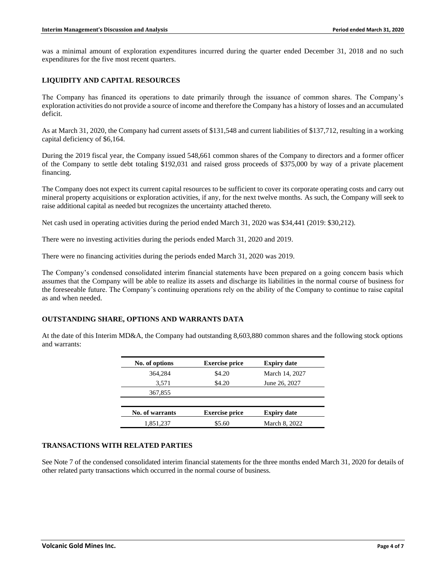was a minimal amount of exploration expenditures incurred during the quarter ended December 31, 2018 and no such expenditures for the five most recent quarters.

# **LIQUIDITY AND CAPITAL RESOURCES**

The Company has financed its operations to date primarily through the issuance of common shares. The Company's exploration activities do not provide a source of income and therefore the Company has a history of losses and an accumulated deficit.

As at March 31, 2020, the Company had current assets of \$131,548 and current liabilities of \$137,712, resulting in a working capital deficiency of \$6,164.

During the 2019 fiscal year, the Company issued 548,661 common shares of the Company to directors and a former officer of the Company to settle debt totaling \$192,031 and raised gross proceeds of \$375,000 by way of a private placement financing.

The Company does not expect its current capital resources to be sufficient to cover its corporate operating costs and carry out mineral property acquisitions or exploration activities, if any, for the next twelve months. As such, the Company will seek to raise additional capital as needed but recognizes the uncertainty attached thereto.

Net cash used in operating activities during the period ended March 31, 2020 was \$34,441 (2019: \$30,212).

There were no investing activities during the periods ended March 31, 2020 and 2019.

There were no financing activities during the periods ended March 31, 2020 was 2019.

The Company's condensed consolidated interim financial statements have been prepared on a going concern basis which assumes that the Company will be able to realize its assets and discharge its liabilities in the normal course of business for the foreseeable future. The Company's continuing operations rely on the ability of the Company to continue to raise capital as and when needed.

#### **OUTSTANDING SHARE, OPTIONS AND WARRANTS DATA**

At the date of this Interim MD&A, the Company had outstanding 8,603,880 common shares and the following stock options and warrants:

| No. of options  | <b>Exercise price</b> | <b>Expiry date</b> |  |
|-----------------|-----------------------|--------------------|--|
| 364,284         | \$4.20                | March 14, 2027     |  |
| 3,571           | \$4.20                | June 26, 2027      |  |
| 367,855         |                       |                    |  |
|                 |                       |                    |  |
| No. of warrants | <b>Exercise price</b> | <b>Expiry date</b> |  |
| 1,851,237       | \$5.60                | March 8, 2022      |  |

#### **TRANSACTIONS WITH RELATED PARTIES**

See Note 7 of the condensed consolidated interim financial statements for the three months ended March 31, 2020 for details of other related party transactions which occurred in the normal course of business.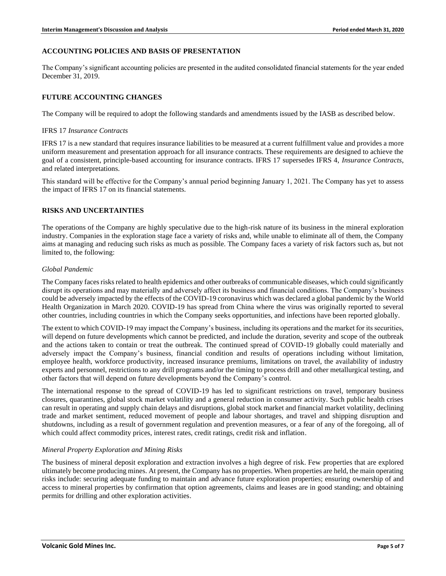# **ACCOUNTING POLICIES AND BASIS OF PRESENTATION**

The Company's significant accounting policies are presented in the audited consolidated financial statements for the year ended December 31, 2019.

# **FUTURE ACCOUNTING CHANGES**

The Company will be required to adopt the following standards and amendments issued by the IASB as described below.

#### IFRS 17 *Insurance Contracts*

IFRS 17 is a new standard that requires insurance liabilities to be measured at a current fulfillment value and provides a more uniform measurement and presentation approach for all insurance contracts. These requirements are designed to achieve the goal of a consistent, principle-based accounting for insurance contracts. IFRS 17 supersedes IFRS 4, *Insurance Contracts*, and related interpretations.

This standard will be effective for the Company's annual period beginning January 1, 2021. The Company has yet to assess the impact of IFRS 17 on its financial statements.

### **RISKS AND UNCERTAINTIES**

The operations of the Company are highly speculative due to the high-risk nature of its business in the mineral exploration industry. Companies in the exploration stage face a variety of risks and, while unable to eliminate all of them, the Company aims at managing and reducing such risks as much as possible. The Company faces a variety of risk factors such as, but not limited to, the following:

### *Global Pandemic*

The Company faces risks related to health epidemics and other outbreaks of communicable diseases, which could significantly disrupt its operations and may materially and adversely affect its business and financial conditions. The Company's business could be adversely impacted by the effects of the COVID-19 coronavirus which was declared a global pandemic by the World Health Organization in March 2020. COVID-19 has spread from China where the virus was originally reported to several other countries, including countries in which the Company seeks opportunities, and infections have been reported globally.

The extent to which COVID-19 may impact the Company's business, including its operations and the market for its securities, will depend on future developments which cannot be predicted, and include the duration, severity and scope of the outbreak and the actions taken to contain or treat the outbreak. The continued spread of COVID-19 globally could materially and adversely impact the Company's business, financial condition and results of operations including without limitation, employee health, workforce productivity, increased insurance premiums, limitations on travel, the availability of industry experts and personnel, restrictions to any drill programs and/or the timing to process drill and other metallurgical testing, and other factors that will depend on future developments beyond the Company's control.

The international response to the spread of COVID-19 has led to significant restrictions on travel, temporary business closures, quarantines, global stock market volatility and a general reduction in consumer activity. Such public health crises can result in operating and supply chain delays and disruptions, global stock market and financial market volatility, declining trade and market sentiment, reduced movement of people and labour shortages, and travel and shipping disruption and shutdowns, including as a result of government regulation and prevention measures, or a fear of any of the foregoing, all of which could affect commodity prices, interest rates, credit ratings, credit risk and inflation.

# *Mineral Property Exploration and Mining Risks*

The business of mineral deposit exploration and extraction involves a high degree of risk. Few properties that are explored ultimately become producing mines. At present, the Company has no properties. When properties are held, the main operating risks include: securing adequate funding to maintain and advance future exploration properties; ensuring ownership of and access to mineral properties by confirmation that option agreements, claims and leases are in good standing; and obtaining permits for drilling and other exploration activities.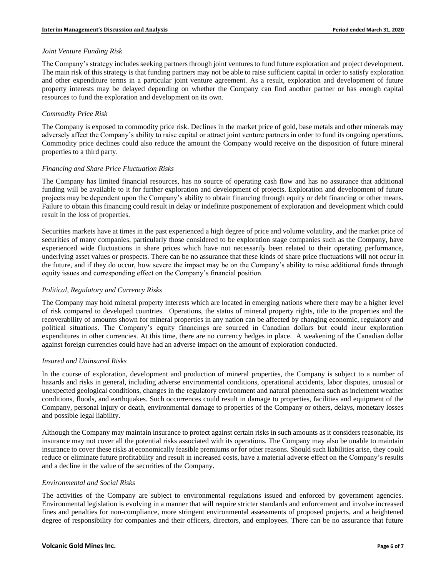# *Joint Venture Funding Risk*

The Company's strategy includes seeking partners through joint ventures to fund future exploration and project development. The main risk of this strategy is that funding partners may not be able to raise sufficient capital in order to satisfy exploration and other expenditure terms in a particular joint venture agreement. As a result, exploration and development of future property interests may be delayed depending on whether the Company can find another partner or has enough capital resources to fund the exploration and development on its own.

# *Commodity Price Risk*

The Company is exposed to commodity price risk. Declines in the market price of gold, base metals and other minerals may adversely affect the Company's ability to raise capital or attract joint venture partners in order to fund its ongoing operations. Commodity price declines could also reduce the amount the Company would receive on the disposition of future mineral properties to a third party.

### *Financing and Share Price Fluctuation Risks*

The Company has limited financial resources, has no source of operating cash flow and has no assurance that additional funding will be available to it for further exploration and development of projects. Exploration and development of future projects may be dependent upon the Company's ability to obtain financing through equity or debt financing or other means. Failure to obtain this financing could result in delay or indefinite postponement of exploration and development which could result in the loss of properties.

Securities markets have at times in the past experienced a high degree of price and volume volatility, and the market price of securities of many companies, particularly those considered to be exploration stage companies such as the Company, have experienced wide fluctuations in share prices which have not necessarily been related to their operating performance, underlying asset values or prospects. There can be no assurance that these kinds of share price fluctuations will not occur in the future, and if they do occur, how severe the impact may be on the Company's ability to raise additional funds through equity issues and corresponding effect on the Company's financial position.

# *Political, Regulatory and Currency Risks*

The Company may hold mineral property interests which are located in emerging nations where there may be a higher level of risk compared to developed countries. Operations, the status of mineral property rights, title to the properties and the recoverability of amounts shown for mineral properties in any nation can be affected by changing economic, regulatory and political situations. The Company's equity financings are sourced in Canadian dollars but could incur exploration expenditures in other currencies. At this time, there are no currency hedges in place. A weakening of the Canadian dollar against foreign currencies could have had an adverse impact on the amount of exploration conducted.

# *Insured and Uninsured Risks*

In the course of exploration, development and production of mineral properties, the Company is subject to a number of hazards and risks in general, including adverse environmental conditions, operational accidents, labor disputes, unusual or unexpected geological conditions, changes in the regulatory environment and natural phenomena such as inclement weather conditions, floods, and earthquakes. Such occurrences could result in damage to properties, facilities and equipment of the Company, personal injury or death, environmental damage to properties of the Company or others, delays, monetary losses and possible legal liability.

Although the Company may maintain insurance to protect against certain risks in such amounts as it considers reasonable, its insurance may not cover all the potential risks associated with its operations. The Company may also be unable to maintain insurance to cover these risks at economically feasible premiums or for other reasons. Should such liabilities arise, they could reduce or eliminate future profitability and result in increased costs, have a material adverse effect on the Company's results and a decline in the value of the securities of the Company.

#### *Environmental and Social Risks*

The activities of the Company are subject to environmental regulations issued and enforced by government agencies. Environmental legislation is evolving in a manner that will require stricter standards and enforcement and involve increased fines and penalties for non-compliance, more stringent environmental assessments of proposed projects, and a heightened degree of responsibility for companies and their officers, directors, and employees. There can be no assurance that future